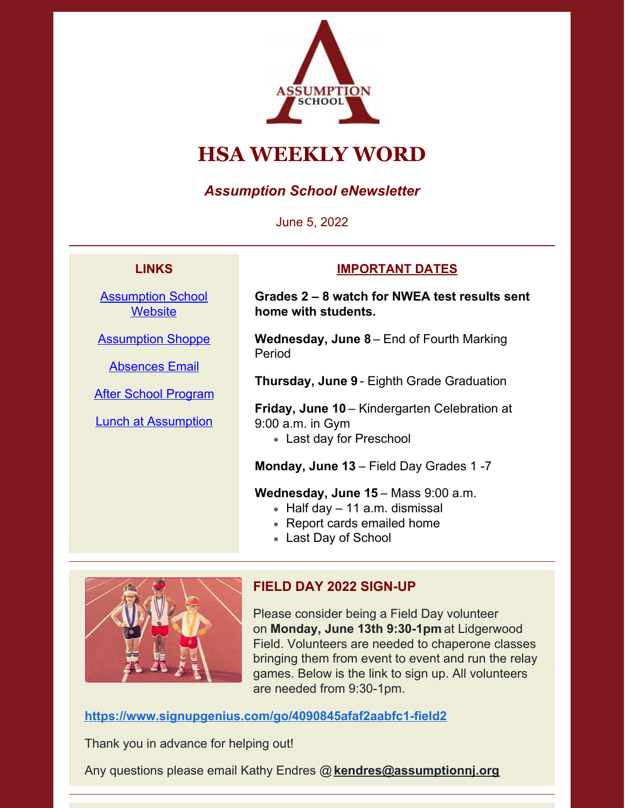

# **HSA WEEKLY WORD**

# *Assumption School eNewsletter*

June 5, 2022

## **LINKS**

[Assumption](https://www.assumptionnj.org/) School **[Website](https://www.assumptionnj.org/)** 

[Assumption](https://assumptionschool.itemorder.com/sale) Shoppe

[Absences](mailto:attendance@assumptionnj.org) Email

After School [Program](https://www.assumptionnj.org/wp-content/uploads/2021/08/After-School-General-Information-website-1.pdf)

Lunch at [Assumption](https://files.constantcontact.com/ba10653a001/6add9be7-c6d9-4c06-b2f3-de0de4d62a3f.pdf?rdr=true)

#### **IMPORTANT DATES**

**Grades 2 – 8 watch for NWEA test results sent home with students.**

**Wednesday, June 8** – End of Fourth Marking Period

**Thursday, June 9** - Eighth Grade Graduation

**Friday, June 10** – Kindergarten Celebration at 9:00 a.m. in Gym

Last day for Preschool

**Monday, June 13** – Field Day Grades 1 -7

#### **Wednesday, June 15** – Mass 9:00 a.m.

- $\bullet$  Half day 11 a.m. dismissal
- Report cards emailed home
- Last Day of School



# **FIELD DAY 2022 SIGN-UP**

Please consider being a Field Day volunteer on **Monday, June 13th 9:30-1pm** at Lidgerwood Field. Volunteers are needed to chaperone classes bringing them from event to event and run the relay games. Below is the link to sign up. All volunteers are needed from 9:30-1pm.

**<https://www.signupgenius.com/go/4090845afaf2aabfc1-field2>**

Thank you in advance for helping out!

Any questions please email Kathy Endres @**[kendres@assumptionnj.org](mailto:kendres@assumptionnj.org)**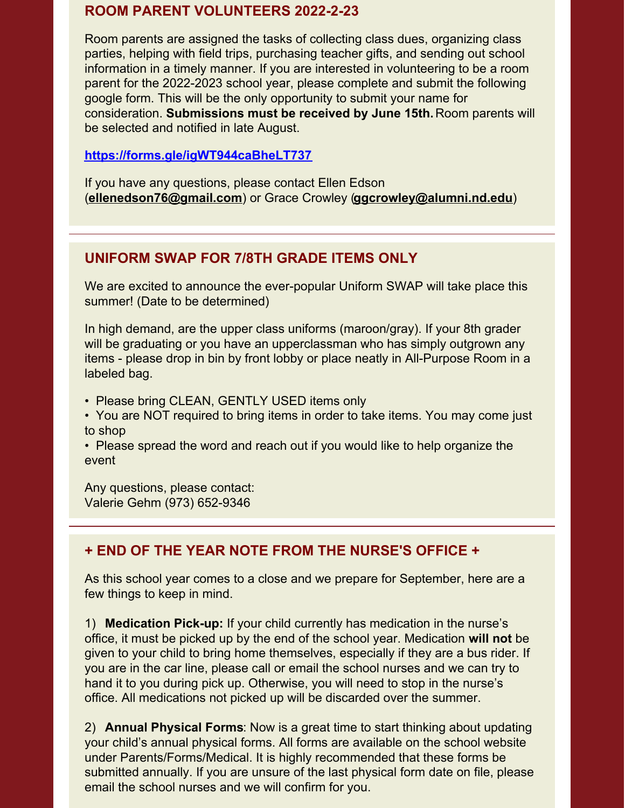## **ROOM PARENT VOLUNTEERS 2022-2-23**

Room parents are assigned the tasks of collecting class dues, organizing class parties, helping with field trips, purchasing teacher gifts, and sending out school information in a timely manner. If you are interested in volunteering to be a room parent for the 2022-2023 school year, please complete and submit the following google form. This will be the only opportunity to submit your name for consideration. **Submissions must be received by June 15th.** Room parents will be selected and notified in late August.

#### **<https://forms.gle/igWT944caBheLT737>**

If you have any questions, please contact Ellen Edson (**[ellenedson76@gmail.com](mailto:ellenedson76@gmail.com)**) or Grace Crowley (**[ggcrowley@alumni.nd.edu](mailto:ggcrowley@alumni.nd.edu)**)

#### **UNIFORM SWAP FOR 7/8TH GRADE ITEMS ONLY**

We are excited to announce the ever-popular Uniform SWAP will take place this summer! (Date to be determined)

In high demand, are the upper class uniforms (maroon/gray). If your 8th grader will be graduating or you have an upperclassman who has simply outgrown any items - please drop in bin by front lobby or place neatly in All-Purpose Room in a labeled bag.

• Please bring CLEAN, GENTLY USED items only

• You are NOT required to bring items in order to take items. You may come just to shop

• Please spread the word and reach out if you would like to help organize the event

Any questions, please contact: Valerie Gehm (973) 652-9346

## **+ END OF THE YEAR NOTE FROM THE NURSE'S OFFICE +**

As this school year comes to a close and we prepare for September, here are a few things to keep in mind.

1) **Medication Pick-up:** If your child currently has medication in the nurse's office, it must be picked up by the end of the school year. Medication **will not** be given to your child to bring home themselves, especially if they are a bus rider. If you are in the car line, please call or email the school nurses and we can try to hand it to you during pick up. Otherwise, you will need to stop in the nurse's office. All medications not picked up will be discarded over the summer.

2) **Annual Physical Forms**: Now is a great time to start thinking about updating your child's annual physical forms. All forms are available on the school website under Parents/Forms/Medical. It is highly recommended that these forms be submitted annually. If you are unsure of the last physical form date on file, please email the school nurses and we will confirm for you.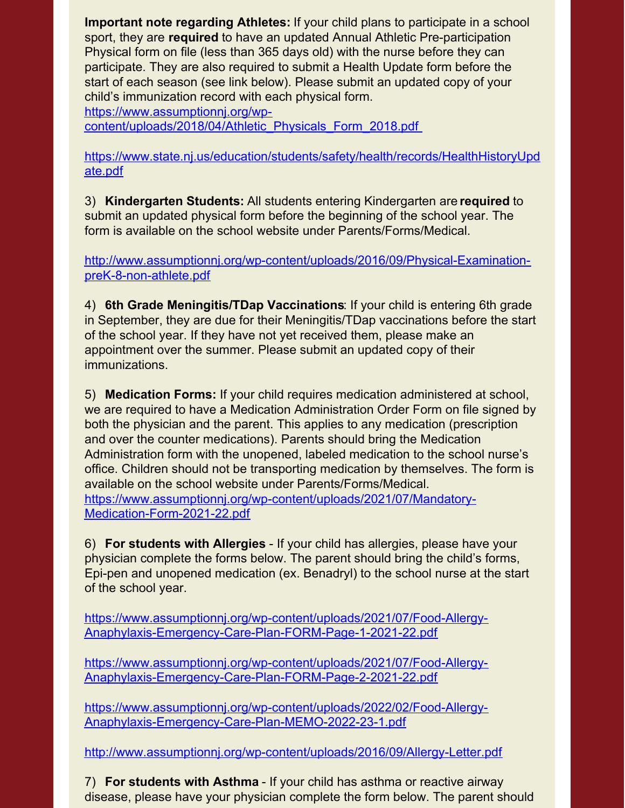**Important note regarding Athletes:** If your child plans to participate in a school sport, they are **required** to have an updated Annual Athletic Pre-participation Physical form on file (less than 365 days old) with the nurse before they can participate. They are also required to submit a Health Update form before the start of each season (see link below). Please submit an updated copy of your child's immunization record with each physical form.

https://www.assumptionnj.org/wp-

[content/uploads/2018/04/Athletic\\_Physicals\\_Form\\_2018.pdf](https://www.assumptionnj.org/wp-content/uploads/2018/04/Athletic_Physicals_Form_2018.pdf)

[https://www.state.nj.us/education/students/safety/health/records/HealthHistoryUpd](https://www.state.nj.us/education/students/safety/health/records/HealthHistoryUpdate.pdf) ate.pdf

3) **Kindergarten Students:** All students entering Kindergarten are **required** to submit an updated physical form before the beginning of the school year. The form is available on the school website under Parents/Forms/Medical.

[http://www.assumptionnj.org/wp-content/uploads/2016/09/Physical-Examination](http://www.assumptionnj.org/wp-content/uploads/2016/09/Physical-Examination-preK-8-non-athlete.pdf)preK-8-non-athlete.pdf

4) **6th Grade Meningitis/TDap Vaccinations**: If your child is entering 6th grade in September, they are due for their Meningitis/TDap vaccinations before the start of the school year. If they have not yet received them, please make an appointment over the summer. Please submit an updated copy of their immunizations.

5) **Medication Forms:** If your child requires medication administered at school, we are required to have a Medication Administration Order Form on file signed by both the physician and the parent. This applies to any medication (prescription and over the counter medications). Parents should bring the Medication Administration form with the unopened, labeled medication to the school nurse's office. Children should not be transporting medication by themselves. The form is available on the school website under Parents/Forms/Medical. [https://www.assumptionnj.org/wp-content/uploads/2021/07/Mandatory-](https://www.assumptionnj.org/wp-content/uploads/2021/07/Mandatory-Medication-Form-2021-22.pdf)Medication-Form-2021-22.pdf

6) **For students with Allergies** - If your child has allergies, please have your physician complete the forms below. The parent should bring the child's forms, Epi-pen and unopened medication (ex. Benadryl) to the school nurse at the start of the school year.

[https://www.assumptionnj.org/wp-content/uploads/2021/07/Food-Allergy-](https://www.assumptionnj.org/wp-content/uploads/2021/07/Food-Allergy-Anaphylaxis-Emergency-Care-Plan-FORM-Page-1-2021-22.pdf)Anaphylaxis-Emergency-Care-Plan-FORM-Page-1-2021-22.pdf

[https://www.assumptionnj.org/wp-content/uploads/2021/07/Food-Allergy-](https://www.assumptionnj.org/wp-content/uploads/2021/07/Food-Allergy-Anaphylaxis-Emergency-Care-Plan-FORM-Page-2-2021-22.pdf)Anaphylaxis-Emergency-Care-Plan-FORM-Page-2-2021-22.pdf

[https://www.assumptionnj.org/wp-content/uploads/2022/02/Food-Allergy-](https://www.assumptionnj.org/wp-content/uploads/2022/02/Food-Allergy-Anaphylaxis-Emergency-Care-Plan-MEMO-2022-23-1.pdf)Anaphylaxis-Emergency-Care-Plan-MEMO-2022-23-1.pdf

<http://www.assumptionnj.org/wp-content/uploads/2016/09/Allergy-Letter.pdf>

7) **For students with Asthma** - If your child has asthma or reactive airway disease, please have your physician complete the form below. The parent should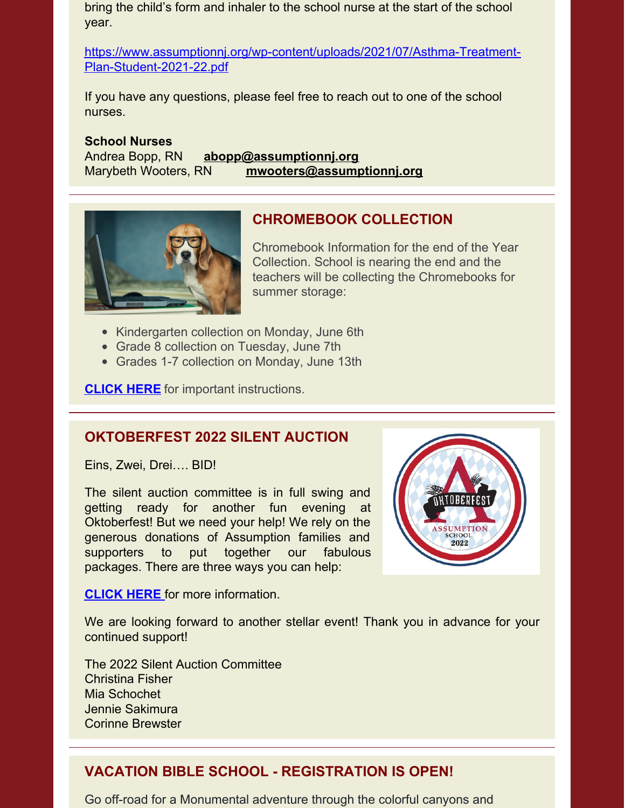bring the child's form and inhaler to the school nurse at the start of the school year.

[https://www.assumptionnj.org/wp-content/uploads/2021/07/Asthma-Treatment-](https://www.assumptionnj.org/wp-content/uploads/2021/07/Asthma-Treatment-Plan-Student-2021-22.pdf)Plan-Student-2021-22.pdf

If you have any questions, please feel free to reach out to one of the school nurses.

**School Nurses** Andrea Bopp, RN **[abopp@assumptionnj.org](mailto:abopp@assumptionnj.org)** Marybeth Wooters, RN **[mwooters@assumptionnj.org](mailto:mwooters@assumptionnj.org)**



# **CHROMEBOOK COLLECTION**

Chromebook Information for the end of the Year Collection. School is nearing the end and the teachers will be collecting the Chromebooks for summer storage:

- Kindergarten collection on Monday, June 6th
- Grade 8 collection on Tuesday, June 7th
- Grades 1-7 collection on Monday, June 13th

**[CLICK](https://www.assumptionnj.org/wp-content/uploads/2022/05/End-of-Year-Chromebook-Information.pdf) HERE** for important instructions.

#### **OKTOBERFEST 2022 SILENT AUCTION**

Eins, Zwei, Drei…. BID!

The silent auction committee is in full swing and getting ready for another fun evening at Oktoberfest! But we need your help! We rely on the generous donations of Assumption families and supporters to put together our fabulous packages. There are three ways you can help:



**[CLICK](https://r20.rs6.net/tn.jsp?f=001QLl0j54Sfh8yDLnLqC0a_YSU6ytSVesb25bzZub_TVMllisLLwiKsvH6Z2EDU_IOgNExkiflzq8BV0RYcT-HquQeaCVggohvZ4B2rHQk3WsC6dYhcxf4-yESkyF3MhSZTJuiUB3lcJX1BRSPs5BVVJcItBK7HRafE8W98KB_bJLX5aJ0djdWwEC4nF1bN82Aw7LMrXpJ4iFCTHK8TDbg169mLCosGaAxCSyCTG8LJHV3ud9q8BbN6w==&c=M9gS99H74eivbRr1Xgp5Dj7woERGX4vceMzqxbvU4w2GobYGPwrwrA==&ch=HD0vo6vYPKooDNfSBxr4bWpF_FeCoxkmvBqBBGfiWgbYok12qjW_GQ==) HERE** for more [information.](https://r20.rs6.net/tn.jsp?f=001QLl0j54Sfh8yDLnLqC0a_YSU6ytSVesb25bzZub_TVMllisLLwiKsvH6Z2EDU_IOgNExkiflzq8BV0RYcT-HquQeaCVggohvZ4B2rHQk3WsC6dYhcxf4-yESkyF3MhSZTJuiUB3lcJX1BRSPs5BVVJcItBK7HRafE8W98KB_bJLX5aJ0djdWwEC4nF1bN82Aw7LMrXpJ4iFCTHK8TDbg169mLCosGaAxCSyCTG8LJHV3ud9q8BbN6w==&c=M9gS99H74eivbRr1Xgp5Dj7woERGX4vceMzqxbvU4w2GobYGPwrwrA==&ch=HD0vo6vYPKooDNfSBxr4bWpF_FeCoxkmvBqBBGfiWgbYok12qjW_GQ==)

We are looking forward to another stellar event! Thank you in advance for your continued support!

The 2022 Silent Auction Committee Christina Fisher Mia Schochet Jennie Sakimura Corinne Brewster

## **VACATION BIBLE SCHOOL - REGISTRATION IS OPEN!**

Go off-road for a Monumental adventure through the colorful canyons and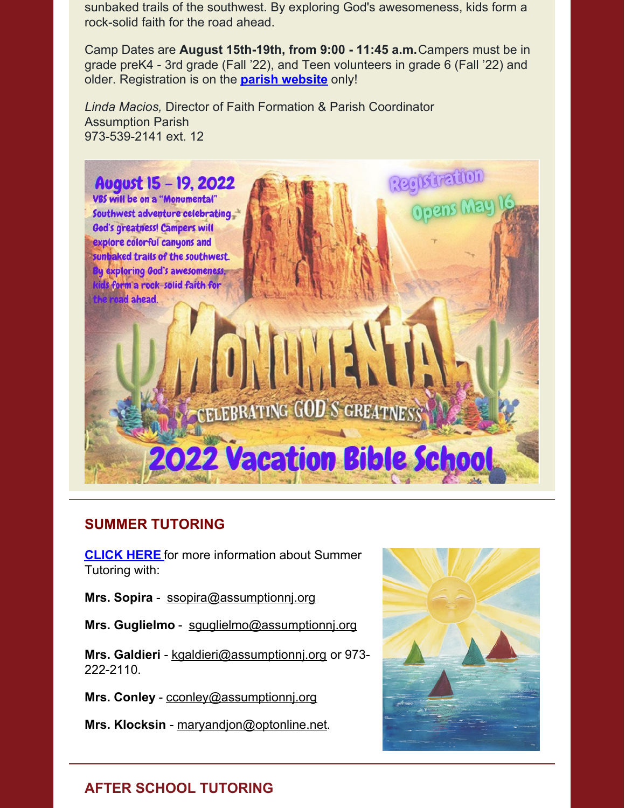sunbaked trails of the southwest. By exploring God's awesomeness, kids form a rock-solid faith for the road ahead.

Camp Dates are **August 15th-19th, from 9:00 - 11:45 a.m.**Campers must be in grade preK4 - 3rd grade (Fall '22), and Teen volunteers in grade 6 (Fall '22) and older. Registration is on the **parish [website](https://assumptionparish.org/vacation-bible-school)** only!

*Linda Macios,* Director of Faith Formation & Parish Coordinator Assumption Parish 973-539-2141 ext. 12



## **SUMMER TUTORING**

**[CLICK](https://www.assumptionnj.org/wp-content/uploads/2022/05/SUMMER-TUTORING-2022.pdf) HERE** for more information about Summer Tutoring with:

**Mrs. Sopira** - [ssopira@assumptionnj.org](mailto:ssopira@assumptionnj.org)

**Mrs. Guglielmo** - [sguglielmo@assumptionnj.org](mailto:sguglielmo@assumptionnj.org)

**Mrs. Galdieri** - [kgaldieri@assumptionnj.org](mailto:kgaldieri@assumptionnj.org) or 973- 222-2110.

**Mrs. Conley** - [cconley@assumptionnj.org](mailto:cconley@assumptionnj.org)

**Mrs. Klocksin** - [maryandjon@optonline.net](mailto:maryandjon@optonline.net).



# **AFTER SCHOOL TUTORING**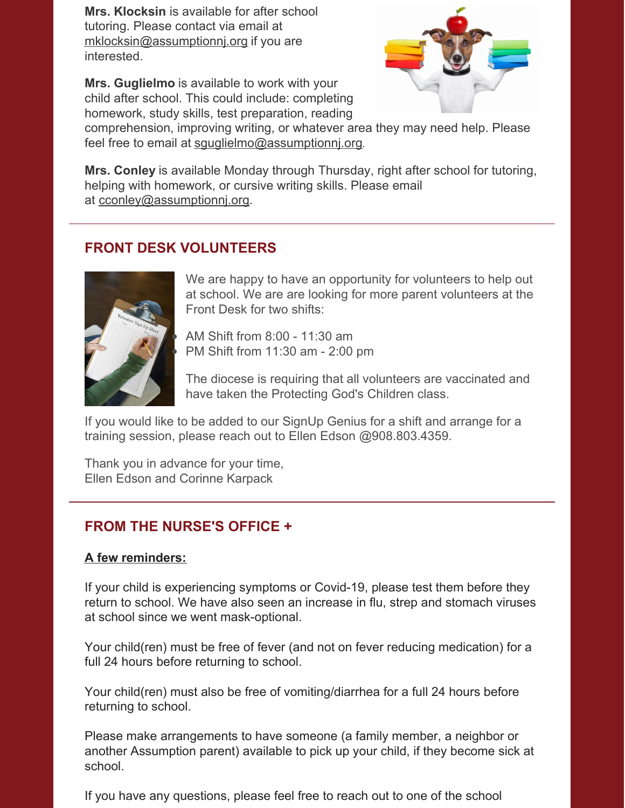**Mrs. Klocksin** is available for after school tutoring. Please contact via email at [mklocksin@assumptionnj.org](mailto:mklocksin@assumptionnj.org) if you are interested.

**Mrs. Guglielmo** is available to work with your child after school. This could include: completing homework, study skills, test preparation, reading



comprehension, improving writing, or whatever area they may need help. Please feel free to email at squglielmo@assumptionnj.org.

**Mrs. Conley** is available Monday through Thursday, right after school for tutoring, helping with homework, or cursive writing skills. Please email at [cconley@assumptionnj.org](mailto:cconley@assumptionnj.org).

# **FRONT DESK VOLUNTEERS**



We are happy to have an opportunity for volunteers to help out at school. We are are looking for more parent volunteers at the Front Desk for two shifts:

AM Shift from 8:00 - 11:30 am PM Shift from 11:30 am - 2:00 pm

The diocese is requiring that all volunteers are vaccinated and have taken the Protecting God's Children class.

If you would like to be added to our SignUp Genius for a shift and arrange for a training session, please reach out to Ellen Edson @908.803.4359.

Thank you in advance for your time, Ellen Edson and Corinne Karpack

# **FROM THE NURSE'S OFFICE +**

#### **A few reminders:**

If your child is experiencing symptoms or Covid-19, please test them before they return to school. We have also seen an increase in flu, strep and stomach viruses at school since we went mask-optional.

Your child(ren) must be free of fever (and not on fever reducing medication) for a full 24 hours before returning to school.

Your child(ren) must also be free of vomiting/diarrhea for a full 24 hours before returning to school.

Please make arrangements to have someone (a family member, a neighbor or another Assumption parent) available to pick up your child, if they become sick at school.

If you have any questions, please feel free to reach out to one of the school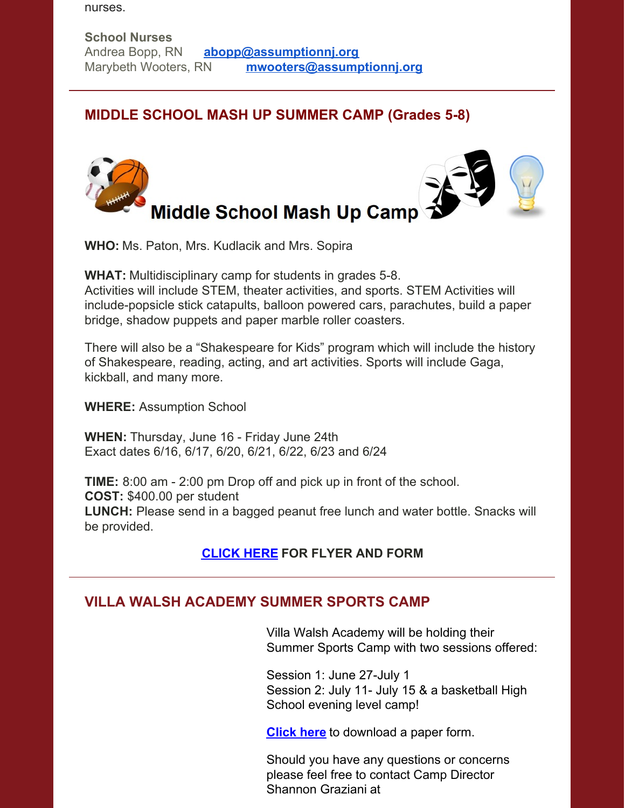nurses.

## **MIDDLE SCHOOL MASH UP SUMMER CAMP (Grades 5-8)**



**WHO:** Ms. Paton, Mrs. Kudlacik and Mrs. Sopira

**WHAT:** Multidisciplinary camp for students in grades 5-8. Activities will include STEM, theater activities, and sports. STEM Activities will include-popsicle stick catapults, balloon powered cars, parachutes, build a paper bridge, shadow puppets and paper marble roller coasters.

There will also be a "Shakespeare for Kids" program which will include the history of Shakespeare, reading, acting, and art activities. Sports will include Gaga, kickball, and many more.

**WHERE:** Assumption School

**WHEN:** Thursday, June 16 - Friday June 24th Exact dates 6/16, 6/17, 6/20, 6/21, 6/22, 6/23 and 6/24

**TIME:** 8:00 am - 2:00 pm Drop off and pick up in front of the school. **COST:** \$400.00 per student **LUNCH:** Please send in a bagged peanut free lunch and water bottle. Snacks will be provided.

# **[CLICK](https://www.assumptionnj.org/wp-content/uploads/2022/03/Middle-School-Mash-Up-Camp.pdf) HERE FOR FLYER AND FORM**

# **VILLA WALSH ACADEMY SUMMER SPORTS CAMP**

Villa Walsh Academy will be holding their Summer Sports Camp with two sessions offered:

Session 1: June 27-July 1 Session 2: July 11- July 15 & a basketball High School evening level camp!

**[Click](https://www.assumptionnj.org/wp-content/uploads/2022/01/Villa-Walsh-form-2022.pdf) here** to download a paper form.

Should you have any questions or concerns please feel free to contact Camp Director Shannon Graziani at